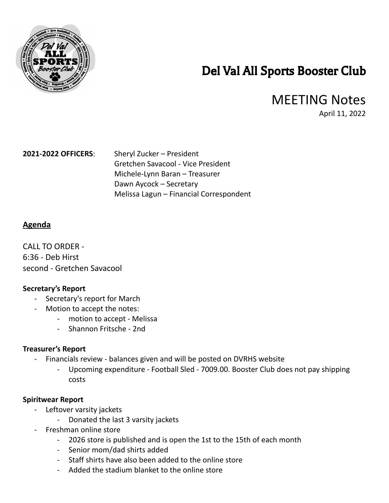

# Del Val All Sports Booster Club

# MEETING Notes

April 11, 2022

**2021-2022 OFFICERS**: Sheryl Zucker – President Gretchen Savacool - Vice President Michele-Lynn Baran – Treasurer Dawn Aycock – Secretary Melissa Lagun – Financial Correspondent

# **Agenda**

CALL TO ORDER -6:36 - Deb Hirst second - Gretchen Savacool

# **Secretary's Report**

- Secretary's report for March
- Motion to accept the notes:
	- motion to accept Melissa
	- Shannon Fritsche 2nd

### **Treasurer's Report**

- Financials review balances given and will be posted on DVRHS website
	- Upcoming expenditure Football Sled 7009.00. Booster Club does not pay shipping costs

### **Spiritwear Report**

- Leftover varsity jackets
	- Donated the last 3 varsity jackets
- Freshman online store
	- 2026 store is published and is open the 1st to the 15th of each month
	- Senior mom/dad shirts added
	- Staff shirts have also been added to the online store
	- Added the stadium blanket to the online store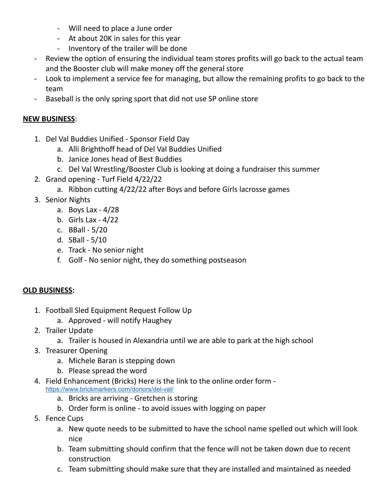- Will need to place a June order
- At about 20K in sales for this year
- Inventory of the trailer will be done
- Review the option of ensuring the individual team stores profits will go back to the actual team and the Booster club will make money off the general store
- Look to implement a service fee for managing, but allow the remaining profits to go back to the team
- Baseball is the only spring sport that did not use SP online store

# **NEW BUSINESS**:

- 1. Del Val Buddies Unified Sponsor Field Day
	- a. Alli Brighthoff head of Del Val Buddies Unified
	- b. Janice Jones head of Best Buddies
	- c. Del Val Wrestling/Booster Club is looking at doing a fundraiser this summer
- 2. Grand opening Turf Field 4/22/22
	- a. Ribbon cutting 4/22/22 after Boys and before Girls lacrosse games
- 3. Senior Nights
	- a. Boys Lax 4/28
	- b. Girls Lax 4/22
	- c. BBall 5/20
	- d. SBall 5/10
	- e. Track No senior night
	- f. Golf No senior night, they do something postseason

# **OLD BUSINESS:**

- 1. Football Sled Equipment Request Follow Up
	- a. Approved will notify Haughey
- 2. Trailer Update
	- a. Trailer is housed in Alexandria until we are able to park at the high school
- 3. Treasurer Opening
	- a. Michele Baran is stepping down
	- b. Please spread the word
- 4. Field Enhancement (Bricks) Here is the link to the online order form <https://www.brickmarkers.com/donors/del-val/>
	- a. Bricks are arriving Gretchen is storing
	- b. Order form is online to avoid issues with logging on paper
- 5. Fence Cups
	- a. New quote needs to be submitted to have the school name spelled out which will look nice
	- b. Team submitting should confirm that the fence will not be taken down due to recent construction
	- c. Team submitting should make sure that they are installed and maintained as needed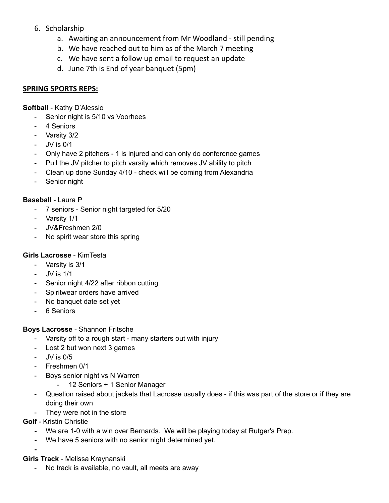# 6. Scholarship

- a. Awaiting an announcement from Mr Woodland still pending
- b. We have reached out to him as of the March 7 meeting
- c. We have sent a follow up email to request an update
- d. June 7th is End of year banquet (5pm)

# **SPRING SPORTS REPS:**

**Softball** - Kathy D'Alessio

- Senior night is 5/10 vs Voorhees
- 4 Seniors
- Varsity 3/2
- JV is 0/1
- Only have 2 pitchers 1 is injured and can only do conference games
- Pull the JV pitcher to pitch varsity which removes JV ability to pitch
- Clean up done Sunday 4/10 check will be coming from Alexandria
- Senior night

## **Baseball** - Laura P

- 7 seniors Senior night targeted for 5/20
- Varsity 1/1
- JV&Freshmen 2/0
- No spirit wear store this spring

# **Girls Lacrosse** - KimTesta

- Varsity is 3/1
- JV is 1/1
- Senior night 4/22 after ribbon cutting
- Spiritwear orders have arrived
- No banquet date set yet
- 6 Seniors

### **Boys Lacrosse** - Shannon Fritsche

- Varsity off to a rough start many starters out with injury
- Lost 2 but won next 3 games
- JV is 0/5
- Freshmen 0/1
	- Boys senior night vs N Warren
		- 12 Seniors + 1 Senior Manager
- Question raised about jackets that Lacrosse usually does if this was part of the store or if they are doing their own
- They were not in the store
- **Golf** Kristin Christie

**-**

- **-** We are 1-0 with a win over Bernards. We will be playing today at Rutger's Prep.
- **-** We have 5 seniors with no senior night determined yet.
- **Girls Track** Melissa Kraynanski
	- No track is available, no vault, all meets are away